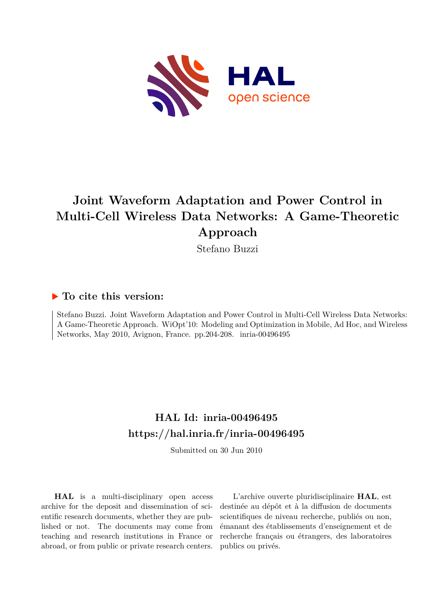

## **Joint Waveform Adaptation and Power Control in Multi-Cell Wireless Data Networks: A Game-Theoretic Approach**

Stefano Buzzi

### **To cite this version:**

Stefano Buzzi. Joint Waveform Adaptation and Power Control in Multi-Cell Wireless Data Networks: A Game-Theoretic Approach. WiOpt'10: Modeling and Optimization in Mobile, Ad Hoc, and Wireless Networks, May 2010, Avignon, France. pp.204-208. inria-00496495

## **HAL Id: inria-00496495 <https://hal.inria.fr/inria-00496495>**

Submitted on 30 Jun 2010

**HAL** is a multi-disciplinary open access archive for the deposit and dissemination of scientific research documents, whether they are published or not. The documents may come from teaching and research institutions in France or abroad, or from public or private research centers.

L'archive ouverte pluridisciplinaire **HAL**, est destinée au dépôt et à la diffusion de documents scientifiques de niveau recherche, publiés ou non, émanant des établissements d'enseignement et de recherche français ou étrangers, des laboratoires publics ou privés.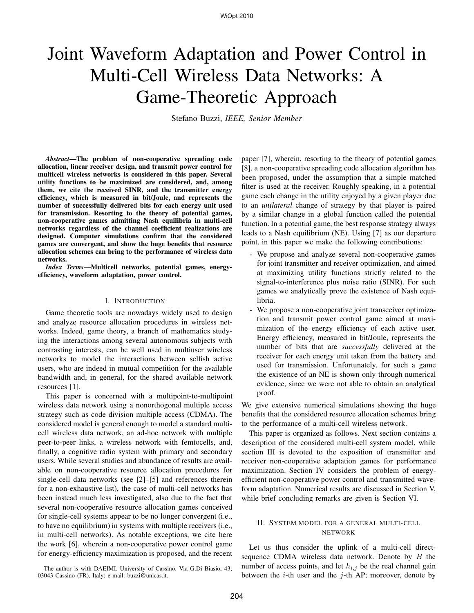# Joint Waveform Adaptation and Power Control in Multi-Cell Wireless Data Networks: A Game-Theoretic Approach

Stefano Buzzi, *IEEE, Senior Member*

*Abstract***—The problem of non-cooperative spreading code allocation, linear receiver design, and transmit power control for multicell wireless networks is considered in this paper. Several utility functions to be maximized are considered, and, among them, we cite the received SINR, and the transmitter energy efficiency, which is measured in bit/Joule, and represents the number of successfully delivered bits for each energy unit used for transmission. Resorting to the theory of potential games, non-cooperative games admitting Nash equilibria in multi-cell networks regardless of the channel coefficient realizations are designed. Computer simulations confirm that the considered games are convergent, and show the huge benefits that resource allocation schemes can bring to the performance of wireless data networks.**

*Index Terms***—Multicell networks, potential games, energyefficiency, waveform adaptation, power control.**

#### I. INTRODUCTION

Game theoretic tools are nowadays widely used to design and analyze resource allocation procedures in wireless networks. Indeed, game theory, a branch of mathematics studying the interactions among several autonomous subjects with contrasting interests, can be well used in multiuser wireless networks to model the interactions between selfish active users, who are indeed in mutual competition for the available bandwidth and, in general, for the shared available network resources [1].

This paper is concerned with a multipoint-to-multipoint wireless data network using a nonorthogonal multiple access strategy such as code division multiple access (CDMA). The considered model is general enough to model a standard multicell wireless data network, an ad-hoc network with multiple peer-to-peer links, a wireless network with femtocells, and, finally, a cognitive radio system with primary and secondary users. While several studies and abundance of results are available on non-cooperative resource allocation procedures for single-cell data networks (see [2]–[5] and references therein for a non-exhaustive list), the case of multi-cell networks has been instead much less investigated, also due to the fact that several non-cooperative resource allocation games conceived for single-cell systems appear to be no longer convergent (i.e., to have no equilibrium) in systems with multiple receivers (i.e., in multi-cell networks). As notable exceptions, we cite here the work [6], wherein a non-cooperative power control game for energy-efficiency maximization is proposed, and the recent

The author is with DAEIMI, University of Cassino, Via G.Di Biasio, 43; 03043 Cassino (FR), Italy; e-mail: buzzi@unicas.it.

paper [7], wherein, resorting to the theory of potential games [8], a non-cooperative spreading code allocation algorithm has been proposed, under the assumption that a simple matched filter is used at the receiver. Roughly speaking, in a potential game each change in the utility enjoyed by a given player due to an *unilateral* change of strategy by that player is paired by a similar change in a global function called the potential function. In a potential game, the best response strategy always leads to a Nash equilibrium (NE). Using [7] as our departure point, in this paper we make the following contributions:

- We propose and analyze several non-cooperative games for joint transmitter and receiver optimization, and aimed at maximizing utility functions strictly related to the signal-to-interference plus noise ratio (SINR). For such games we analytically prove the existence of Nash equilibria.
- We propose a non-cooperative joint transceiver optimization and transmit power control game aimed at maximization of the energy efficiency of each active user. Energy efficiency, measured in bit/Joule, represents the number of bits that are *successfully* delivered at the receiver for each energy unit taken from the battery and used for transmission. Unfortunately, for such a game the existence of an NE is shown only through numerical evidence, since we were not able to obtain an analytical proof.

We give extensive numerical simulations showing the huge benefits that the considered resource allocation schemes bring to the performance of a multi-cell wireless network.

This paper is organized as follows. Next section contains a description of the considered multi-cell system model, while section III is devoted to the exposition of transmitter and receiver non-cooperative adaptation games for performance maximization. Section IV considers the problem of energyefficient non-cooperative power control and transmitted waveform adaptation. Numerical results are discussed in Section V, while brief concluding remarks are given is Section VI.

#### II. SYSTEM MODEL FOR A GENERAL MULTI-CELL NETWORK

Let us thus consider the uplink of a multi-cell directsequence CDMA wireless data network. Denote by  $B$  the number of access points, and let  $h_{i,j}$  be the real channel gain between the  $i$ -th user and the  $j$ -th AP; moreover, denote by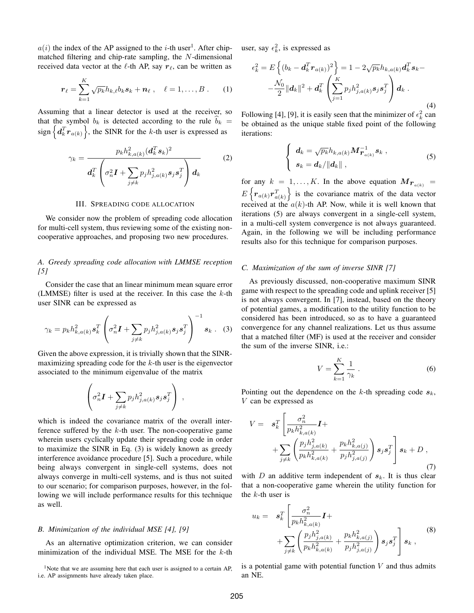$a(i)$  the index of the AP assigned to the *i*-th user<sup>1</sup>. After chipmatched filtering and chip-rate sampling, the  $N$ -dimensional received data vector at the  $\ell$ -th AP, say  $r_{\ell}$ , can be written as

$$
\boldsymbol{r}_{\ell} = \sum_{k=1}^{K} \sqrt{p_k} h_{k,\ell} b_k \boldsymbol{s}_k + \boldsymbol{n}_{\ell} \ , \quad \ell = 1, \ldots, B \ . \qquad (1)
$$

Assuming that a linear detector is used at the receiver, so that the symbol  $b_k$  is detected according to the rule  $b_k$  = sign  $\left\{ d_k^T \mathbf{r}_{a(k)} \right\}$ , the SINR for the k-th user is expressed as

$$
\gamma_k = \frac{p_k h_{k,a(k)}^2 (d_k^T s_k)^2}{d_k^T \left(\sigma_n^2 \mathbf{I} + \sum_{j \neq k} p_j h_{j,a(k)}^2 s_j s_j^T\right) d_k}
$$
(2)

#### III. SPREADING CODE ALLOCATION

We consider now the problem of spreading code allocation for multi-cell system, thus reviewing some of the existing noncooperative approaches, and proposing two new procedures.

#### *A. Greedy spreading code allocation with LMMSE reception [5]*

Consider the case that an linear minimum mean square error (LMMSE) filter is used at the receiver. In this case the  $k$ -th user SINR can be expressed as

$$
\gamma_k = p_k h_{k,a(k)}^2 \mathbf{s}_k^T \left( \sigma_n^2 \mathbf{I} + \sum_{j \neq k} p_j h_{j,a(k)}^2 \mathbf{s}_j \mathbf{s}_j^T \right)^{-1} \mathbf{s}_k .
$$
 (3)

Given the above expression, it is trivially shown that the SINRmaximizing spreading code for the  $k$ -th user is the eigenvector associated to the minimum eigenvalue of the matrix

$$
\left(\sigma_n^2 \boldsymbol{I} + \sum_{j \neq k} p_j h_{j,a(k)}^2 \boldsymbol{s}_j \boldsymbol{s}_j^T\right) ,
$$

which is indeed the covariance matrix of the overall interference suffered by the  $k$ -th user. The non-cooperative game wherein users cyclically update their spreading code in order to maximize the SINR in Eq. (3) is widely known as greedy interference avoidance procedure [5]. Such a procedure, while being always convergent in single-cell systems, does not always converge in multi-cell systems, and is thus not suited to our scenario; for comparison purposes, however, in the following we will include performance results for this technique as well.

#### *B. Minimization of the individual MSE [4], [9]*

As an alternative optimization criterion, we can consider minimization of the individual MSE. The MSE for the  $k$ -th

<sup>1</sup>Note that we are assuming here that each user is assigned to a certain AP, i.e. AP assignments have already taken place.

user, say  $\epsilon_k^2$ , is expressed as

$$
\epsilon_k^2 = E\left\{ (b_k - \mathbf{d}_k^T \mathbf{r}_{a(k)})^2 \right\} = 1 - 2\sqrt{p_k} h_{k, a(k)} \mathbf{d}_k^T \mathbf{s}_k - \frac{\mathcal{N}_0}{2} ||\mathbf{d}_k||^2 + \mathbf{d}_k^T \left( \sum_{j=1}^K p_j h_{j, a(k)}^2 \mathbf{s}_j \mathbf{s}_j^T \right) \mathbf{d}_k .
$$
\n(4)

Following [4], [9], it is easily seen that the minimizer of  $\epsilon_k^2$  can be obtained as the unique stable fixed point of the following iterations:

$$
\begin{cases}\n\boldsymbol{d}_{k} = \sqrt{p_{k}} h_{k,a(k)} \boldsymbol{M}^{-1}_{\boldsymbol{r}_{a(k)}} \boldsymbol{s}_{k} ,\\ \n\boldsymbol{s}_{k} = \boldsymbol{d}_{k} / \|\boldsymbol{d}_{k}\| \ ,\n\end{cases} \tag{5}
$$

for any  $k = 1, ..., K$ . In the above equation  $M_{r_{a(k)}} =$  $E\left\{\boldsymbol{r}_{a(k)}\boldsymbol{r}_{a(k)}^{T}\right.$  $\}$  is the covariance matrix of the data vector received at the  $a(k)$ -th AP. Now, while it is well known that iterations (5) are always convergent in a single-cell system, in a multi-cell system convergence is not always guaranteed. Again, in the following we will be including performance results also for this technique for comparison purposes.

#### *C. Maximization of the sum of inverse SINR [7]*

As previously discussed, non-cooperative maximum SINR game with respect to the spreading code and uplink receiver [5] is not always convergent. In [7], instead, based on the theory of potential games, a modification to the utility function to be considered has been introduced, so as to have a guaranteed convergence for any channel realizations. Let us thus assume that a matched filter (MF) is used at the receiver and consider the sum of the inverse SINR, i.e.:

$$
V = \sum_{k=1}^{K} \frac{1}{\gamma_k} \tag{6}
$$

Pointing out the dependence on the  $k$ -th spreading code  $s_k$ , V can be expressed as

$$
V = s_k^T \left[ \frac{\sigma_n^2}{p_k h_{k, a(k)}^2} \mathbf{I} + \frac{\sum_{j \neq k} \left( \frac{p_j h_{j, a(k)}^2}{p_k h_{k, a(k)}^2} + \frac{p_k h_{k, a(j)}^2}{p_j h_{j, a(j)}^2} \right) \mathbf{s}_j \mathbf{s}_j^T \right] \mathbf{s}_k + D ,
$$
\n(7)

with  $D$  an additive term independent of  $s_k$ . It is thus clear that a non-cooperative game wherein the utility function for the  $k$ -th user is

$$
u_k = s_k^T \left[ \frac{\sigma_n^2}{p_k h_{k,a(k)}^2} \mathbf{I} + \n+ \sum_{j \neq k} \left( \frac{p_j h_{j,a(k)}^2}{p_k h_{k,a(k)}^2} + \frac{p_k h_{k,a(j)}^2}{p_j h_{j,a(j)}^2} \right) \mathbf{s}_j \mathbf{s}_j^T \right] \mathbf{s}_k,
$$
\n(8)

is a potential game with potential function  $V$  and thus admits an NE.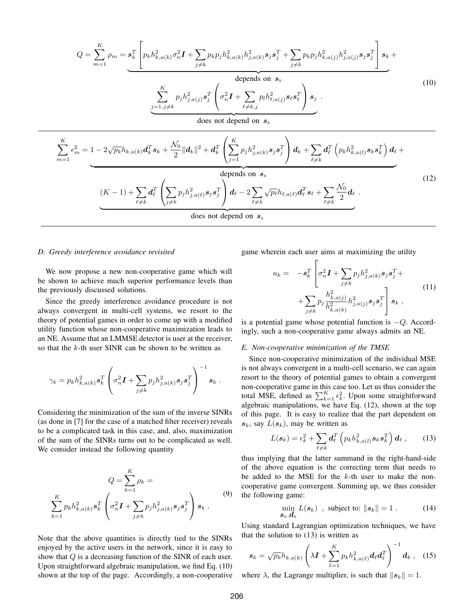$$
Q = \sum_{m=1}^{K} \rho_{m} = \underbrace{\mathbf{s}_{k}^{T} \left[ p_{k} h_{k,a(k)}^{2} \sigma_{n}^{2} \mathbf{I} + \sum_{j \neq k} p_{k} p_{j} h_{k,a(k)}^{2} h_{j,a(k)}^{2} \mathbf{s}_{j}^{2} + \sum_{j \neq k} p_{k} p_{j} h_{k,a(j)}^{2} \mathbf{s}_{j} \mathbf{s}_{j}^{2} \right] \mathbf{s}_{k}}_{\text{depends on } \mathbf{s}_{k}} + \text{depends on } \mathbf{s}_{k}
$$
\n
$$
\underbrace{\sum_{j=1,j \neq k}^{K} p_{j} h_{j,a(j)}^{2} \mathbf{s}_{j}^{T} \left( \sigma_{n}^{2} \mathbf{I} + \sum_{\ell \neq k,j} p_{\ell} h_{\ell,a(j)}^{2} \mathbf{s}_{\ell} \mathbf{s}_{\ell}^{T} \right) \mathbf{s}_{j}}_{\text{does not depend on } \mathbf{s}_{k}}
$$
\n
$$
\sum_{m=1}^{K} \epsilon_{m}^{2} = 1 - 2\sqrt{p_{k}} h_{k,a(k)} \mathbf{d}_{k}^{T} \mathbf{s}_{k} + \frac{N_{0}}{2} ||\mathbf{d}_{k}||^{2} + \mathbf{d}_{k}^{T} \left( \sum_{j=1}^{K} p_{j} h_{j,a(k)}^{2} \mathbf{s}_{j} \mathbf{s}_{j}^{T} \right) \mathbf{d}_{k} + \sum_{\ell \neq k} \mathbf{d}_{\ell}^{T} \left( p_{k} h_{k,a(l)}^{2} \mathbf{s}_{k} \mathbf{s}_{k}^{T} \right) \mathbf{d}_{\ell} + \text{depends on } \mathbf{s}_{k}
$$
\n
$$
(12)
$$
\n
$$
\underbrace{\left( K - 1 \right) + \sum_{\ell \neq k} \mathbf{d}_{\ell}^{T} \left( \sum_{j \neq k} p_{j} h_{j,a(\ell)}^{2} \mathbf{s}_{j} \mathbf{s}_{j}^{T} \right) \mathbf{d}_{\ell} - 2 \sum_{\ell \neq k} \sqrt{p_{\ell}} h_{\ell,a(\ell)} \mathbf{d}_{\ell}^{T} \mathbf{s}_{\ell} + \sum_{\ell \neq k} \frac{N_{0}}{2} \mathbf{d}_{\ell} \tag{12}
$$

#### *D. Greedy interference avoidance revisited*

We now propose a new non-cooperative game which will be shown to achieve much superior performance levels than the previously discussed solutions.

Since the greedy interference avoidance procedure is not always convergent in multi-cell systems, we resort to the theory of potential games in order to come up with a modified utility function whose non-cooperative maximization leads to an NE. Assume that an LMMSE detector is user at the receiver, so that the  $k$ -th user SINR can be shown to be written as

$$
\gamma_k = p_k h_{k,a(k)}^2 \mathbf{s}_k^T \left( \sigma_n^2 \mathbf{I} + \sum_{j \neq k} p_j h_{j,a(k)}^2 \mathbf{s}_j \mathbf{s}_j^T \right)^{-1} \mathbf{s}_k.
$$

Considering the minimization of the sum of the inverse SINRs (as done in [7] for the case of a matched filter receiver) reveals to be a complicated task in this case, and, also, maximization of the sum of the SINRs turns out to be complicated as well. We consider instead the following quantity

$$
Q = \sum_{k=1}^{K} \rho_k = \sum_{k=1}^{K} p_k h_{k,a(k)}^2 \mathbf{s}_k^T \left( \sigma_n^2 \mathbf{I} + \sum_{j \neq k} p_j h_{j,a(k)}^2 \mathbf{s}_j \mathbf{s}_j^T \right) \mathbf{s}_k.
$$
\n(9)

Note that the above quantities is directly tied to the SINRs enjoyed by the active users in the network, since it is easy to show that  $Q$  is a decreasing function of the SINR of each user. Upon straightforward algebraic manipulation, we find Eq. (10) shown at the top of the page. Accordingly, a non-cooperative game wherein each user aims at maximizing the utility

$$
u_k = -s_k^T \left[ \sigma_n^2 \mathbf{I} + \sum_{j \neq k} p_j h_{j,a(k)}^2 \mathbf{s}_j \mathbf{s}_j^T + \right. \\ + \sum_{j \neq k} p_j \frac{h_{k,a(j)}^2}{h_{k,a(k)}^2} h_{j,a(j)}^2 \mathbf{s}_j \mathbf{s}_j^T \right] \mathbf{s}_k \;, \tag{11}
$$

is a potential game whose potential function is  $-Q$ . Accordingly, such a non-cooperative game always admits an NE.

#### *E. Non-cooperative minimization of the TMSE*

Since non-cooperative minimization of the individual MSE is not always convergent in a multi-cell scenario, we can again resort to the theory of potential games to obtain a convergent non-cooperative game in this case too. Let us thus consider the total MSE, defined as  $\sum_{k=1}^{K} \epsilon_k^2$ . Upon some straightforward algebraic manipulations, we have Eq. (12), shown at the top of this page. It is easy to realize that the part dependent on  $s_k$ , say  $L(s_k)$ , may be written as

$$
L(\boldsymbol{s}_k) = \epsilon_k^2 + \sum_{\ell \neq k} \boldsymbol{d}_{\ell}^T \left( p_k h_{k,a(l)}^2 \boldsymbol{s}_k \boldsymbol{s}_k^T \right) \boldsymbol{d}_{\ell} \;, \qquad (13)
$$

thus implying that the latter summand in the right-hand-side of the above equation is the correcting term that needs to be added to the MSE for the  $k$ -th user to make the noncooperative game convergent. Summing up, we thus consider the following game:

$$
\min_{\mathbf{s}_k,\mathbf{d}_k} L(\mathbf{s}_k) , \text{ subject to: } ||\mathbf{s}_k|| = 1 .
$$
 (14)

Using standard Lagrangian optimization techniques, we have that the solution to (13) is written as

$$
s_k = \sqrt{p_k} h_{k,a(k)} \left( \lambda I + \sum_{\ell=1}^K p_k h_{k,a(\ell)}^2 d_\ell d_\ell^T \right)^{-1} d_k , \quad (15)
$$

where  $\lambda$ , the Lagrange multiplier, is such that  $||s_k|| = 1$ .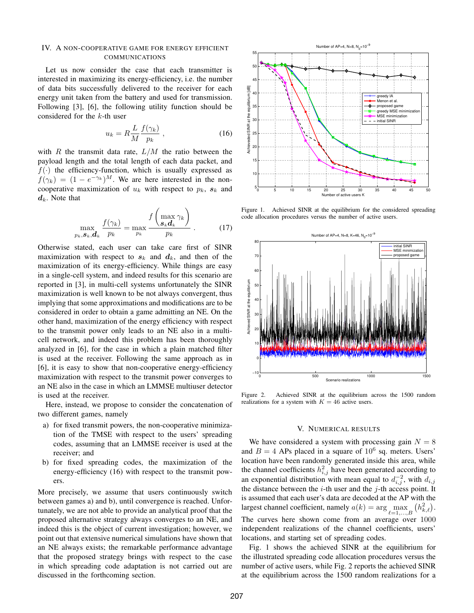#### IV. A NON-COOPERATIVE GAME FOR ENERGY EFFICIENT COMMUNICATIONS

Let us now consider the case that each transmitter is interested in maximizing its energy-efficiency, i.e. the number of data bits successfully delivered to the receiver for each energy unit taken from the battery and used for transmission. Following [3], [6], the following utility function should be considered for the  $k$ -th user

$$
u_k = R \frac{L}{M} \frac{f(\gamma_k)}{p_k} \,, \tag{16}
$$

with  $R$  the transmit data rate,  $L/M$  the ratio between the payload length and the total length of each data packet, and  $f(\cdot)$  the efficiency-function, which is usually expressed as  $f(\gamma_k) = (1 - e^{-\gamma_k})^M$ . We are here interested in the noncooperative maximization of  $u_k$  with respect to  $p_k$ ,  $s_k$  and  $d_k$ . Note that

$$
\max_{p_k, \mathcal{S}_k, \mathcal{d}_k} \frac{f(\gamma_k)}{p_k} = \max_{p_k} \frac{f\left(\max_{\mathcal{S}_k} \gamma_k\right)}{p_k} \,. \tag{17}
$$

Otherwise stated, each user can take care first of SINR maximization with respect to  $s_k$  and  $d_k$ , and then of the maximization of its energy-efficiency. While things are easy in a single-cell system, and indeed results for this scenario are reported in [3], in multi-cell systems unfortunately the SINR maximization is well known to be not always convergent, thus implying that some approximations and modifications are to be considered in order to obtain a game admitting an NE. On the other hand, maximization of the energy efficiency with respect to the transmit power only leads to an NE also in a multicell network, and indeed this problem has been thoroughly analyzed in [6], for the case in which a plain matched filter is used at the receiver. Following the same approach as in [6], it is easy to show that non-cooperative energy-efficiency maximization with respect to the transmit power converges to an NE also in the case in which an LMMSE multiuser detector is used at the receiver.

Here, instead, we propose to consider the concatenation of two different games, namely

- a) for fixed transmit powers, the non-cooperative minimization of the TMSE with respect to the users' spreading codes, assuming that an LMMSE receiver is used at the receiver; and
- b) for fixed spreading codes, the maximization of the energy-efficiency (16) with respect to the transmit powers.

More precisely, we assume that users continuously switch between games a) and b), until convergence is reached. Unfortunately, we are not able to provide an analytical proof that the proposed alternative strategy always converges to an NE, and indeed this is the object of current investigation; however, we point out that extensive numerical simulations have shown that an NE always exists; the remarkable performance advantage that the proposed strategy brings with respect to the case in which spreading code adaptation is not carried out are discussed in the forthcoming section.



Figure 1. Achieved SINR at the equilibrium for the considered spreading code allocation procedures versus the number of active users.



Figure 2. Achieved SINR at the equilibrium across the 1500 random realizations for a system with  $K = 46$  active users.

#### V. NUMERICAL RESULTS

We have considered a system with processing gain  $N = 8$ and  $B = 4$  APs placed in a square of  $10^6$  sq. meters. Users' location have been randomly generated inside this area, while the channel coefficients  $h_{i,j}^2$  have been generated according to an exponential distribution with mean equal to  $d_{i,j}^{-2}$ , with  $d_{i,j}$ the distance between the  $i$ -th user and the  $j$ -th access point. It is assumed that each user's data are decoded at the AP with the largest channel coefficient, namely  $a(k) = \arg \max_{\ell=1,...,B}$  $(h_{k,\ell}^2)$ . The curves here shown come from an average over 1000 independent realizations of the channel coefficients, users' locations, and starting set of spreading codes.

Fig. 1 shows the achieved SINR at the equilibrium for the illustrated spreading code allocation procedures versus the number of active users, while Fig. 2 reports the achieved SINR at the equilibrium across the 1500 random realizations for a